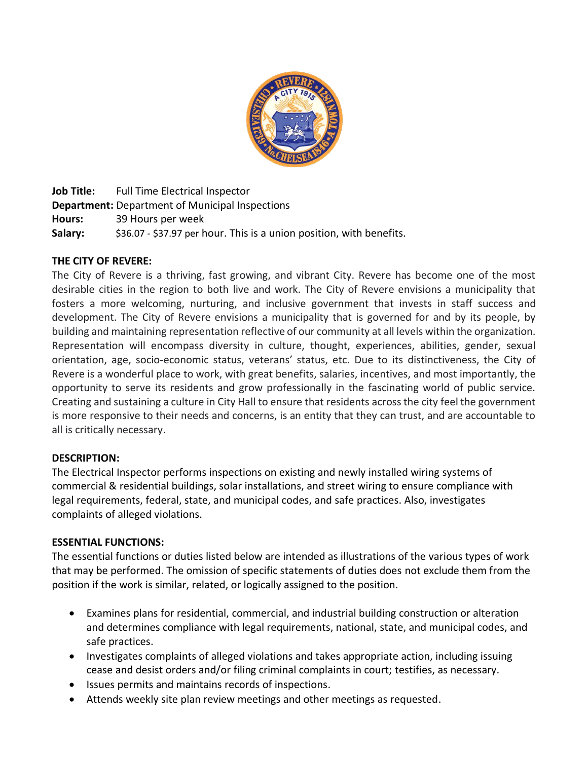

**Job Title:** Full Time Electrical Inspector **Department:** Department of Municipal Inspections **Hours:** 39 Hours per week **Salary:** \$36.07 - \$37.97 per hour. This is a union position, with benefits.

## **THE CITY OF REVERE:**

The City of Revere is a thriving, fast growing, and vibrant City. Revere has become one of the most desirable cities in the region to both live and work. The City of Revere envisions a municipality that fosters a more welcoming, nurturing, and inclusive government that invests in staff success and development. The City of Revere envisions a municipality that is governed for and by its people, by building and maintaining representation reflective of our community at all levels within the organization. Representation will encompass diversity in culture, thought, experiences, abilities, gender, sexual orientation, age, socio-economic status, veterans' status, etc. Due to its distinctiveness, the City of Revere is a wonderful place to work, with great benefits, salaries, incentives, and most importantly, the opportunity to serve its residents and grow professionally in the fascinating world of public service. Creating and sustaining a culture in City Hall to ensure that residents across the city feel the government is more responsive to their needs and concerns, is an entity that they can trust, and are accountable to all is critically necessary.

#### **DESCRIPTION:**

The Electrical Inspector performs inspections on existing and newly installed wiring systems of commercial & residential buildings, solar installations, and street wiring to ensure compliance with legal requirements, federal, state, and municipal codes, and safe practices. Also, investigates complaints of alleged violations.

#### **ESSENTIAL FUNCTIONS:**

The essential functions or duties listed below are intended as illustrations of the various types of work that may be performed. The omission of specific statements of duties does not exclude them from the position if the work is similar, related, or logically assigned to the position.

- Examines plans for residential, commercial, and industrial building construction or alteration and determines compliance with legal requirements, national, state, and municipal codes, and safe practices.
- Investigates complaints of alleged violations and takes appropriate action, including issuing cease and desist orders and/or filing criminal complaints in court; testifies, as necessary.
- Issues permits and maintains records of inspections.
- Attends weekly site plan review meetings and other meetings as requested.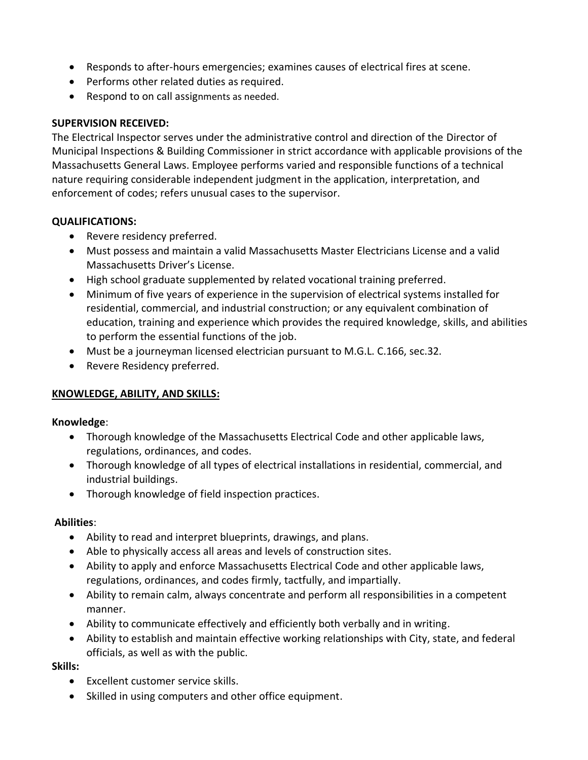- Responds to after-hours emergencies; examines causes of electrical fires at scene.
- Performs other related duties as required.
- Respond to on call assignments as needed.

## **SUPERVISION RECEIVED:**

The Electrical Inspector serves under the administrative control and direction of the Director of Municipal Inspections & Building Commissioner in strict accordance with applicable provisions of the Massachusetts General Laws. Employee performs varied and responsible functions of a technical nature requiring considerable independent judgment in the application, interpretation, and enforcement of codes; refers unusual cases to the supervisor.

## **QUALIFICATIONS:**

- Revere residency preferred.
- Must possess and maintain a valid Massachusetts Master Electricians License and a valid Massachusetts Driver's License.
- High school graduate supplemented by related vocational training preferred.
- Minimum of five years of experience in the supervision of electrical systems installed for residential, commercial, and industrial construction; or any equivalent combination of education, training and experience which provides the required knowledge, skills, and abilities to perform the essential functions of the job.
- Must be a journeyman licensed electrician pursuant to M.G.L. C.166, sec.32.
- Revere Residency preferred.

# **KNOWLEDGE, ABILITY, AND SKILLS:**

## **Knowledge**:

- Thorough knowledge of the Massachusetts Electrical Code and other applicable laws, regulations, ordinances, and codes.
- Thorough knowledge of all types of electrical installations in residential, commercial, and industrial buildings.
- Thorough knowledge of field inspection practices.

## **Abilities**:

- Ability to read and interpret blueprints, drawings, and plans.
- Able to physically access all areas and levels of construction sites.
- Ability to apply and enforce Massachusetts Electrical Code and other applicable laws, regulations, ordinances, and codes firmly, tactfully, and impartially.
- Ability to remain calm, always concentrate and perform all responsibilities in a competent manner.
- Ability to communicate effectively and efficiently both verbally and in writing.
- Ability to establish and maintain effective working relationships with City, state, and federal officials, as well as with the public.

## **Skills:**

- Excellent customer service skills.
- Skilled in using computers and other office equipment.